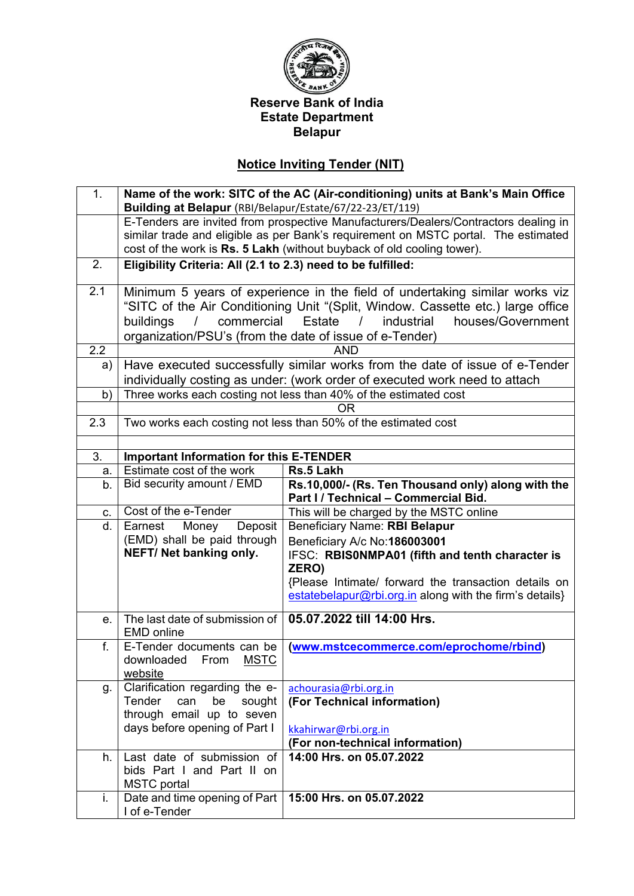

### **Reserve Bank of India Estate Department Belapur**

### **Notice Inviting Tender (NIT)**

| 1.  | Name of the work: SITC of the AC (Air-conditioning) units at Bank's Main Office     |                                                                                 |  |
|-----|-------------------------------------------------------------------------------------|---------------------------------------------------------------------------------|--|
|     | Building at Belapur (RBI/Belapur/Estate/67/22-23/ET/119)                            |                                                                                 |  |
|     | E-Tenders are invited from prospective Manufacturers/Dealers/Contractors dealing in |                                                                                 |  |
|     | similar trade and eligible as per Bank's requirement on MSTC portal. The estimated  |                                                                                 |  |
|     | cost of the work is Rs. 5 Lakh (without buyback of old cooling tower).              |                                                                                 |  |
| 2.  | Eligibility Criteria: All (2.1 to 2.3) need to be fulfilled:                        |                                                                                 |  |
|     |                                                                                     |                                                                                 |  |
| 2.1 |                                                                                     | Minimum 5 years of experience in the field of undertaking similar works viz     |  |
|     |                                                                                     | "SITC of the Air Conditioning Unit "(Split, Window. Cassette etc.) large office |  |
|     | commercial<br>buildings<br>$\prime$                                                 | Estate<br>industrial<br>houses/Government<br>$\prime$                           |  |
|     | organization/PSU's (from the date of issue of e-Tender)                             |                                                                                 |  |
| 2.2 |                                                                                     | <b>AND</b>                                                                      |  |
| a)  |                                                                                     | Have executed successfully similar works from the date of issue of e-Tender     |  |
|     |                                                                                     | individually costing as under: (work order of executed work need to attach      |  |
| b)  |                                                                                     | Three works each costing not less than 40% of the estimated cost                |  |
|     |                                                                                     | OR                                                                              |  |
| 2.3 |                                                                                     | Two works each costing not less than 50% of the estimated cost                  |  |
|     |                                                                                     |                                                                                 |  |
| 3.  | <b>Important Information for this E-TENDER</b>                                      |                                                                                 |  |
| a.  | Estimate cost of the work                                                           | Rs.5 Lakh                                                                       |  |
| b.  | Bid security amount / EMD                                                           | Rs.10,000/- (Rs. Ten Thousand only) along with the                              |  |
|     |                                                                                     | Part I / Technical - Commercial Bid.                                            |  |
| C.  | Cost of the e-Tender                                                                | This will be charged by the MSTC online                                         |  |
| d.  | Earnest<br>Deposit<br>Money                                                         | <b>Beneficiary Name: RBI Belapur</b>                                            |  |
|     | (EMD) shall be paid through                                                         | Beneficiary A/c No:186003001                                                    |  |
|     | NEFT/ Net banking only.                                                             | IFSC: RBIS0NMPA01 (fifth and tenth character is                                 |  |
|     |                                                                                     | ZERO)                                                                           |  |
|     |                                                                                     | {Please Intimate/ forward the transaction details on                            |  |
|     |                                                                                     | estatebelapur@rbi.org.in along with the firm's details}                         |  |
| e.  | The last date of submission of                                                      | 05.07.2022 till 14:00 Hrs.                                                      |  |
|     | <b>EMD</b> online                                                                   |                                                                                 |  |
| f.  | E-Tender documents can be                                                           | (www.mstcecommerce.com/eprochome/rbind)                                         |  |
|     | <u>MSTC</u><br>downloaded From                                                      |                                                                                 |  |
|     | website                                                                             |                                                                                 |  |
| g.  | Clarification regarding the e-                                                      | achourasia@rbi.org.in                                                           |  |
|     | Tender<br>can<br>be<br>sought                                                       | (For Technical information)                                                     |  |
|     | through email up to seven                                                           |                                                                                 |  |
|     | days before opening of Part I                                                       | kkahirwar@rbi.org.in                                                            |  |
|     |                                                                                     | (For non-technical information)                                                 |  |
| h.  | Last date of submission of                                                          | 14:00 Hrs. on 05.07.2022                                                        |  |
|     | bids Part I and Part II on                                                          |                                                                                 |  |
| i.  | <b>MSTC</b> portal<br>Date and time opening of Part                                 | 15:00 Hrs. on 05.07.2022                                                        |  |
|     | I of e-Tender                                                                       |                                                                                 |  |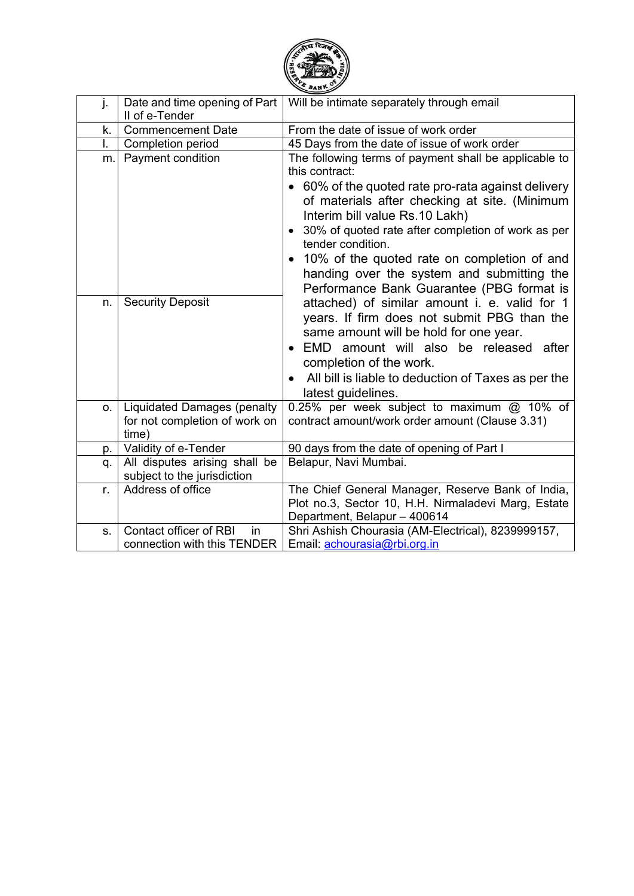

| j.       | Date and time opening of Part<br>II of e-Tender                              | Will be intimate separately through email                                                                                                                                                                                                                                                                                                                                                                                                                                                                                             |
|----------|------------------------------------------------------------------------------|---------------------------------------------------------------------------------------------------------------------------------------------------------------------------------------------------------------------------------------------------------------------------------------------------------------------------------------------------------------------------------------------------------------------------------------------------------------------------------------------------------------------------------------|
| k.       | <b>Commencement Date</b>                                                     | From the date of issue of work order                                                                                                                                                                                                                                                                                                                                                                                                                                                                                                  |
| I.       | Completion period                                                            | 45 Days from the date of issue of work order                                                                                                                                                                                                                                                                                                                                                                                                                                                                                          |
| m.<br>n. | Payment condition<br><b>Security Deposit</b>                                 | The following terms of payment shall be applicable to<br>this contract:<br>• 60% of the quoted rate pro-rata against delivery<br>of materials after checking at site. (Minimum<br>Interim bill value Rs.10 Lakh)<br>30% of quoted rate after completion of work as per<br>tender condition.<br>10% of the quoted rate on completion of and<br>handing over the system and submitting the<br>Performance Bank Guarantee (PBG format is<br>attached) of similar amount i. e. valid for 1<br>years. If firm does not submit PBG than the |
|          |                                                                              | same amount will be hold for one year.<br>EMD amount will also be released after<br>completion of the work.<br>All bill is liable to deduction of Taxes as per the<br>latest guidelines.                                                                                                                                                                                                                                                                                                                                              |
| О.       | <b>Liquidated Damages (penalty</b><br>for not completion of work on<br>time) | 0.25% per week subject to maximum $@$ 10% of<br>contract amount/work order amount (Clause 3.31)                                                                                                                                                                                                                                                                                                                                                                                                                                       |
| p.       | Validity of e-Tender                                                         | 90 days from the date of opening of Part I                                                                                                                                                                                                                                                                                                                                                                                                                                                                                            |
| q.       | All disputes arising shall be<br>subject to the jurisdiction                 | Belapur, Navi Mumbai.                                                                                                                                                                                                                                                                                                                                                                                                                                                                                                                 |
| r.       | Address of office                                                            | The Chief General Manager, Reserve Bank of India,<br>Plot no.3, Sector 10, H.H. Nirmaladevi Marg, Estate<br>Department, Belapur - 400614                                                                                                                                                                                                                                                                                                                                                                                              |
| $S_{-}$  | Contact officer of RBI<br>in<br>connection with this TENDER                  | Shri Ashish Chourasia (AM-Electrical), 8239999157,<br>Email: achourasia@rbi.org.in                                                                                                                                                                                                                                                                                                                                                                                                                                                    |